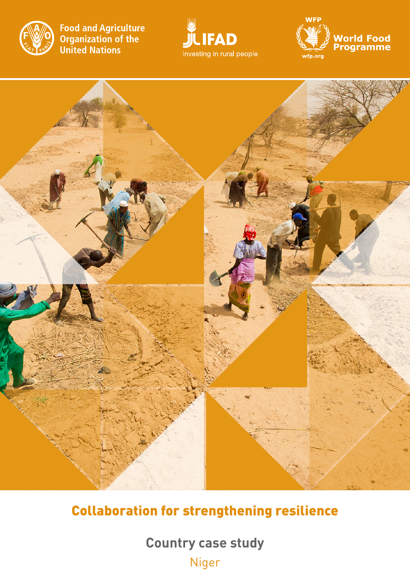

**Food and Agriculture Code and Agriculture**<br>**Organization of the**<br>**United Nations** 







# Collaboration for strengthening resilience

**Country case study** Niger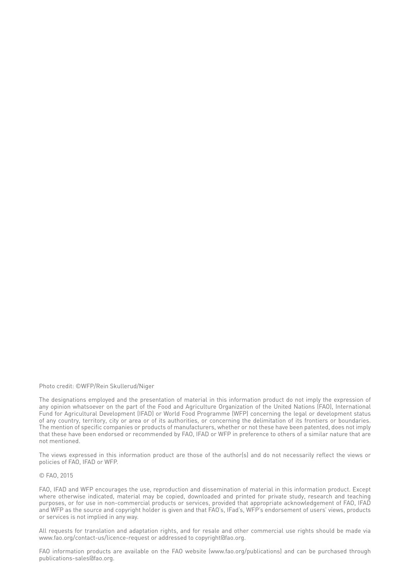Photo credit: ©WFP/Rein Skullerud/Niger

The designations employed and the presentation of material in this information product do not imply the expression of any opinion whatsoever on the part of the Food and Agriculture Organization of the United Nations (FAO), International Fund for Agricultural Development (IFAD) or World Food Programme (WFP) concerning the legal or development status of any country, territory, city or area or of its authorities, or concerning the delimitation of its frontiers or boundaries. The mention of specific companies or products of manufacturers, whether or not these have been patented, does not imply that these have been endorsed or recommended by FAO, IFAD or WFP in preference to others of a similar nature that are not mentioned.

The views expressed in this information product are those of the author(s) and do not necessarily reflect the views or policies of FAO, IFAD or WFP.

#### © FAO, 2015

FAO, IFAD and WFP encourages the use, reproduction and dissemination of material in this information product. Except where otherwise indicated, material may be copied, downloaded and printed for private study, research and teaching purposes, or for use in non-commercial products or services, provided that appropriate acknowledgement of FAO, IFAD and WFP as the source and copyright holder is given and that FAO's, IFad's, WFP's endorsement of users' views, products or services is not implied in any way.

All requests for translation and adaptation rights, and for resale and other commercial use rights should be made via www.fao.org/contact-us/licence-request or addressed to copyright@fao.org.

FAO information products are available on the FAO website (www.fao.org/publications) and can be purchased through publications-sales@fao.org.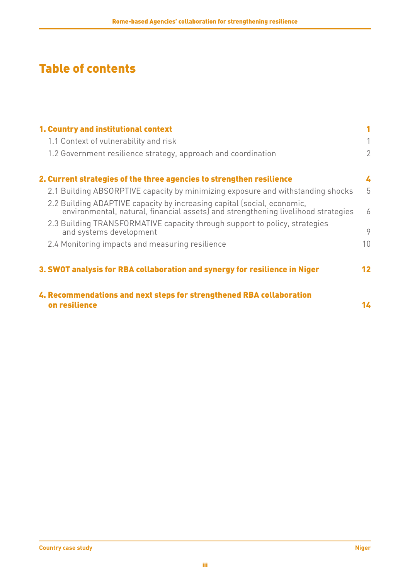# Table of contents

| 1. Country and institutional context                                                                                                                         |    |
|--------------------------------------------------------------------------------------------------------------------------------------------------------------|----|
| 1.1 Context of vulnerability and risk                                                                                                                        |    |
| 1.2 Government resilience strategy, approach and coordination                                                                                                | 2  |
| 2. Current strategies of the three agencies to strengthen resilience                                                                                         | 4  |
| 2.1 Building ABSORPTIVE capacity by minimizing exposure and withstanding shocks                                                                              | 5  |
| 2.2 Building ADAPTIVE capacity by increasing capital (social, economic,<br>environmental, natural, financial assets) and strengthening livelihood strategies | 6  |
| 2.3 Building TRANSFORMATIVE capacity through support to policy, strategies<br>and systems development                                                        | 9  |
| 2.4 Monitoring impacts and measuring resilience                                                                                                              | 10 |
| 3. SWOT analysis for RBA collaboration and synergy for resilience in Niger                                                                                   | 12 |
| 4. Recommendations and next steps for strengthened RBA collaboration<br>on resilience                                                                        | 14 |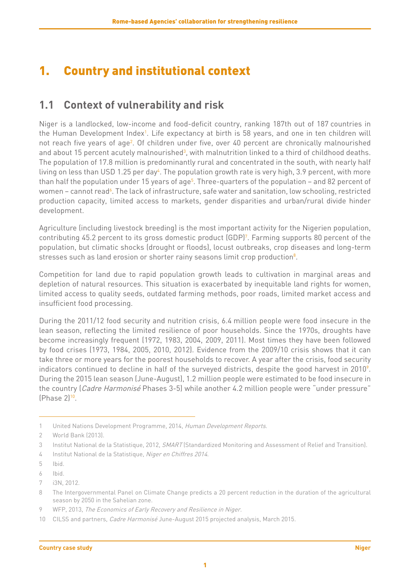## <span id="page-4-0"></span>1. Country and institutional context

## **1.1 Context of vulnerability and risk**

Niger is a landlocked, low-income and food-deficit country, ranking 187th out of 187 countries in the Human Development Index<sup>1</sup>. Life expectancy at birth is 58 years, and one in ten children will not reach five years of age<sup>2</sup>. Of children under five, over 40 percent are chronically malnourished and about 15 percent acutely malnourished<sup>3</sup>, with malnutrition linked to a third of childhood deaths. The population of 17.8 million is predominantly rural and concentrated in the south, with nearly half living on less than USD 1.25 per day<sup>4</sup>. The population growth rate is very high, 3.9 percent, with more than half the population under 15 years of age<sup>s</sup>. Three-quarters of the population – and 82 percent of women – cannot read<sup>6</sup>. The lack of infrastructure, safe water and sanitation, low schooling, restricted production capacity, limited access to markets, gender disparities and urban/rural divide hinder development.

Agriculture (including livestock breeding) is the most important activity for the Nigerien population, contributing 45.2 percent to its gross domestic product (GDP)<sup>7</sup>. Farming supports 80 percent of the population, but climatic shocks (drought or floods), locust outbreaks, crop diseases and long-term stresses such as land erosion or shorter rainy seasons limit crop production<sup>8</sup>.

Competition for land due to rapid population growth leads to cultivation in marginal areas and depletion of natural resources. This situation is exacerbated by inequitable land rights for women, limited access to quality seeds, outdated farming methods, poor roads, limited market access and insufficient food processing.

During the 2011/12 food security and nutrition crisis, 6.4 million people were food insecure in the lean season, reflecting the limited resilience of poor households. Since the 1970s, droughts have become increasingly frequent (1972, 1983, 2004, 2009, 2011). Most times they have been followed by food crises (1973, 1984, 2005, 2010, 2012). Evidence from the 2009/10 crisis shows that it can take three or more years for the poorest households to recover. A year after the crisis, food security indicators continued to decline in half of the surveyed districts, despite the good harvest in 2010 $^{\circ}$ . During the 2015 lean season (June-August), 1.2 million people were estimated to be food insecure in the country (*Cadre Harmonisé* Phases 3-5) while another 4.2 million people were "under pressure" (Phase 2)10.

<sup>1</sup> United Nations Development Programme, 2014, Human Development Reports.

<sup>2</sup> World Bank (2013).

<sup>3</sup> Institut National de la Statistique, 2012, SMART (Standardized Monitoring and Assessment of Relief and Transition).

<sup>4</sup> Institut National de la Statistique, Niger en Chiffres 2014.

<sup>5</sup> Ibid.

<sup>6</sup> Ibid.

<sup>7</sup> i3N, 2012.

<sup>8</sup> The Intergovernmental Panel on Climate Change predicts a 20 percent reduction in the duration of the agricultural season by 2050 in the Sahelian zone.

<sup>9</sup> WFP, 2013, The Economics of Early Recovery and Resilience in Niger.

<sup>10</sup> CILSS and partners, *Cadre Harmonisé* June-August 2015 projected analysis, March 2015.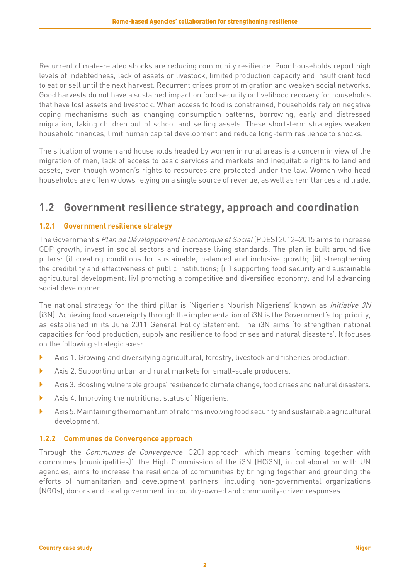<span id="page-5-0"></span>Recurrent climate-related shocks are reducing community resilience. Poor households report high levels of indebtedness, lack of assets or livestock, limited production capacity and insufficient food to eat or sell until the next harvest. Recurrent crises prompt migration and weaken social networks. Good harvests do not have a sustained impact on food security or livelihood recovery for households that have lost assets and livestock. When access to food is constrained, households rely on negative coping mechanisms such as changing consumption patterns, borrowing, early and distressed migration, taking children out of school and selling assets. These short-term strategies weaken household finances, limit human capital development and reduce long-term resilience to shocks.

The situation of women and households headed by women in rural areas is a concern in view of the migration of men, lack of access to basic services and markets and inequitable rights to land and assets, even though women's rights to resources are protected under the law. Women who head households are often widows relying on a single source of revenue, as well as remittances and trade.

### **1.2 Government resilience strategy, approach and coordination**

### **1.2.1 Government resilience strategy**

The Government's Plan de Développement Economique et Social (PDES) 2012–2015 aims to increase GDP growth, invest in social sectors and increase living standards. The plan is built around five pillars: (i) creating conditions for sustainable, balanced and inclusive growth; (ii) strengthening the credibility and effectiveness of public institutions; (iii) supporting food security and sustainable agricultural development; (iv) promoting a competitive and diversified economy; and (v) advancing social development.

The national strategy for the third pillar is 'Nigeriens Nourish Nigeriens' known as *Initiative 3N* (i3N). Achieving food sovereignty through the implementation of i3N is the Government's top priority, as established in its June 2011 General Policy Statement. The i3N aims 'to strengthen national capacities for food production, supply and resilience to food crises and natural disasters'. It focuses on the following strategic axes:

- } Axis 1. Growing and diversifying agricultural, forestry, livestock and fisheries production.
- } Axis 2. Supporting urban and rural markets for small-scale producers.
- } Axis 3. Boosting vulnerable groups' resilience to climate change, food crises and natural disasters.
- } Axis 4. Improving the nutritional status of Nigeriens.
- $\blacktriangleright$  Axis 5. Maintaining the momentum of reforms involving food security and sustainable agricultural development.

#### **1.2.2 Communes de Convergence approach**

Through the Communes de Convergence (C2C) approach, which means 'coming together with communes (municipalities)', the High Commission of the i3N (HCi3N), in collaboration with UN agencies, aims to increase the resilience of communities by bringing together and grounding the efforts of humanitarian and development partners, including non-governmental organizations (NGOs), donors and local government, in country-owned and community-driven responses.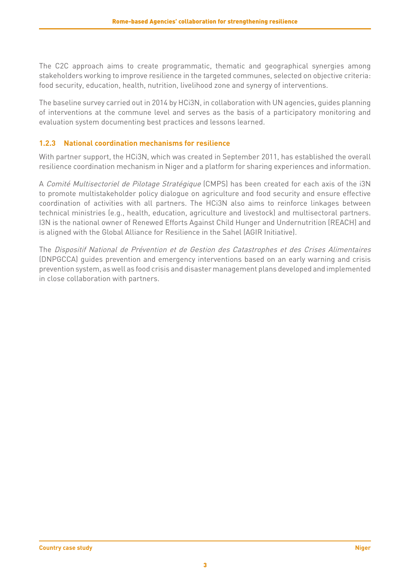The C2C approach aims to create programmatic, thematic and geographical synergies among stakeholders working to improve resilience in the targeted communes, selected on objective criteria: food security, education, health, nutrition, livelihood zone and synergy of interventions.

The baseline survey carried out in 2014 by HCi3N, in collaboration with UN agencies, guides planning of interventions at the commune level and serves as the basis of a participatory monitoring and evaluation system documenting best practices and lessons learned.

#### **1.2.3 National coordination mechanisms for resilience**

With partner support, the HCi3N, which was created in September 2011, has established the overall resilience coordination mechanism in Niger and a platform for sharing experiences and information.

A Comité Multisectoriel de Pilotage Stratégique (CMPS) has been created for each axis of the i3N to promote multistakeholder policy dialogue on agriculture and food security and ensure effective coordination of activities with all partners. The HCi3N also aims to reinforce linkages between technical ministries (e.g., health, education, agriculture and livestock) and multisectoral partners. I3N is the national owner of Renewed Efforts Against Child Hunger and Undernutrition (REACH) and is aligned with the Global Alliance for Resilience in the Sahel (AGIR Initiative).

The Dispositif National de Prévention et de Gestion des Catastrophes et des Crises Alimentaires (DNPGCCA) guides prevention and emergency interventions based on an early warning and crisis prevention system, as well as food crisis and disaster management plans developed and implemented in close collaboration with partners.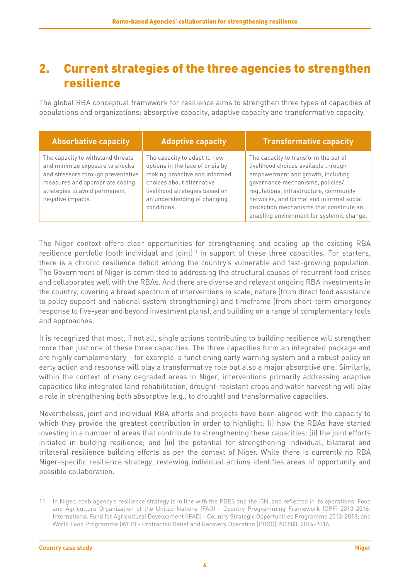## <span id="page-7-0"></span>2. Current strategies of the three agencies to strengthen resilience

The global RBA conceptual framework for resilience aims to strengthen three types of capacities of populations and organizations: absorptive capacity, adaptive capacity and transformative capacity.

| <b>Absorbative capacity</b>                                                                                                                                                                          | <b>Adaptive capacity</b>                                                                                                                                                                                        | <b>Transformative capacity</b>                                                                                                                                                                                                                                                                                                       |
|------------------------------------------------------------------------------------------------------------------------------------------------------------------------------------------------------|-----------------------------------------------------------------------------------------------------------------------------------------------------------------------------------------------------------------|--------------------------------------------------------------------------------------------------------------------------------------------------------------------------------------------------------------------------------------------------------------------------------------------------------------------------------------|
| The capacity to withstand threats<br>and minimize exposure to shocks<br>and stressors through preventative<br>measures and appropriate coping<br>strategies to avoid permanent,<br>negative impacts. | The capacity to adapt to new<br>options in the face of crisis by<br>making proactive and informed<br>choices about alternative<br>livelihood strategies based on<br>an understanding of changing<br>conditions. | The capacity to transform the set of<br>livelihood choices available through<br>empowerment and growth, including<br>governance mechanisms, policies/<br>regulations, infrastructure, community<br>networks, and formal and informal social<br>protection mechanisms that constitute an<br>enabling environment for systemic change. |

The Niger context offers clear opportunities for strengthening and scaling up the existing RBA resilience portfolio (both individual and joint)<sup>11</sup> in support of these three capacities. For starters, there is a chronic resilience deficit among the country's vulnerable and fast-growing population. The Government of Niger is committed to addressing the structural causes of recurrent food crises and collaborates well with the RBAs. And there are diverse and relevant ongoing RBA investments in the country, covering a broad spectrum of interventions in scale, nature (from direct food assistance to policy support and national system strengthening) and timeframe (from short-term emergency response to five-year and beyond investment plans), and building on a range of complementary tools and approaches.

It is recognized that most, if not all, single actions contributing to building resilience will strengthen more than just one of these three capacities. The three capacities form an integrated package and are highly complementary – for example, a functioning early warning system and a robust policy on early action and response will play a transformative role but also a major absorptive one. Similarly, within the context of many degraded areas in Niger, interventions primarily addressing adaptive capacities like integrated land rehabilitation, drought-resistant crops and water harvesting will play a role in strengthening both absorptive (e.g., to drought) and transformative capacities.

Nevertheless, joint and individual RBA efforts and projects have been aligned with the capacity to which they provide the greatest contribution in order to highlight: (i) how the RBAs have started investing in a number of areas that contribute to strengthening these capacities; (ii) the joint efforts initiated in building resilience; and (iii) the potential for strengthening individual, bilateral and trilateral resilience building efforts as per the context of Niger. While there is currently no RBA Niger-specific resilience strategy, reviewing individual actions identifies areas of opportunity and possible collaboration.

<sup>11</sup> In Niger, each agency's resilience strategy is in line with the PDES and the i3N, and reflected in its operations: Food and Agriculture Organization of the United Nations (FAO) - Country Programming Framework (CPF) 2013-2016; International Fund for Agricultural Development (IFAD) - Country Strategic Opportunities Programme 2013-2018; and World Food Programme (WFP) - Protracted Relief and Recovery Operation (PRRO) 200583, 2014-2016.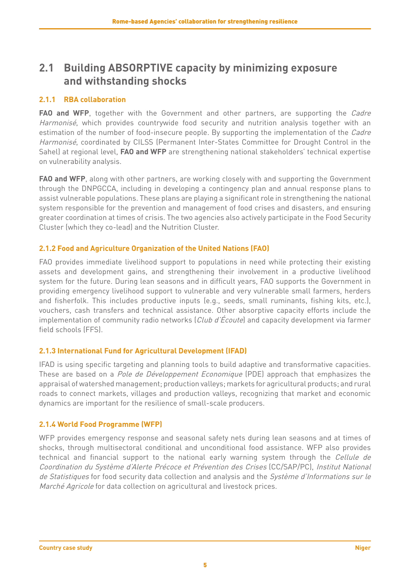### <span id="page-8-0"></span>**2.1 Building ABSORPTIVE capacity by minimizing exposure and withstanding shocks**

#### **2.1.1 RBA collaboration**

**FAO and WFP**, together with the Government and other partners, are supporting the *Cadre* Harmonisé, which provides countrywide food security and nutrition analysis together with an estimation of the number of food-insecure people. By supporting the implementation of the Cadre Harmonisé, coordinated by CILSS (Permanent Inter-States Committee for Drought Control in the Sahel) at regional level, **FAO and WFP** are strengthening national stakeholders' technical expertise on vulnerability analysis.

**FAO and WFP**, along with other partners, are working closely with and supporting the Government through the DNPGCCA, including in developing a contingency plan and annual response plans to assist vulnerable populations. These plans are playing a significant role in strengthening the national system responsible for the prevention and management of food crises and disasters, and ensuring greater coordination at times of crisis. The two agencies also actively participate in the Food Security Cluster (which they co-lead) and the Nutrition Cluster.

#### **2.1.2 Food and Agriculture Organization of the United Nations (FAO)**

FAO provides immediate livelihood support to populations in need while protecting their existing assets and development gains, and strengthening their involvement in a productive livelihood system for the future. During lean seasons and in difficult years, FAO supports the Government in providing emergency livelihood support to vulnerable and very vulnerable small farmers, herders and fisherfolk. This includes productive inputs (e.g., seeds, small ruminants, fishing kits, etc.), vouchers, cash transfers and technical assistance. Other absorptive capacity efforts include the implementation of community radio networks (Club d'Écoute) and capacity development via farmer field schools (FFS).

#### **2.1.3 International Fund for Agricultural Development (IFAD)**

IFAD is using specific targeting and planning tools to build adaptive and transformative capacities. These are based on a Pole de Développement Economique (PDE) approach that emphasizes the appraisal of watershed management; production valleys; markets for agricultural products; and rural roads to connect markets, villages and production valleys, recognizing that market and economic dynamics are important for the resilience of small-scale producers.

### **2.1.4 World Food Programme (WFP)**

WFP provides emergency response and seasonal safety nets during lean seasons and at times of shocks, through multisectoral conditional and unconditional food assistance. WFP also provides technical and financial support to the national early warning system through the Cellule de Coordination du Système d'Alerte Précoce et Prévention des Crises (CC/SAP/PC), Institut National de Statistiques for food security data collection and analysis and the Système d'Informations sur le Marché Agricole for data collection on agricultural and livestock prices.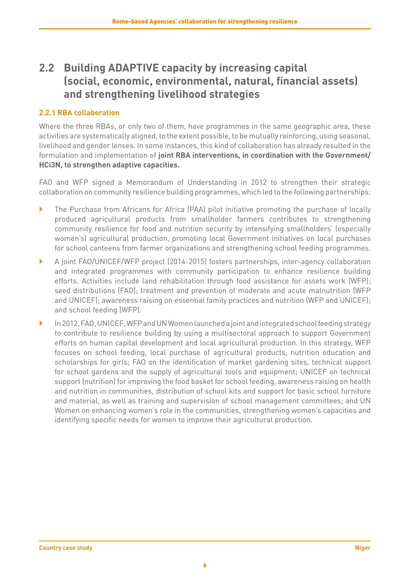### <span id="page-9-0"></span>**2.2 Building ADAPTIVE capacity by increasing capital (social, economic, environmental, natural, financial assets) and strengthening livelihood strategies**

#### **2.2.1 RBA collaboration**

Where the three RBAs, or only two of them, have programmes in the same geographic area, these activities are systematically aligned, to the extent possible, to be mutually reinforcing, using seasonal, livelihood and gender lenses. In some instances, this kind of collaboration has already resulted in the formulation and implementation of **joint RBA interventions, in coordination with the Government/ HCi3N, to strengthen adaptive capacities.**

FAO and WFP signed a Memorandum of Understanding in 2012 to strengthen their strategic collaboration on community resilience building programmes, which led to the following partnerships:

- } The Purchase from Africans for Africa (PAA) pilot initiative promoting the purchase of locally produced agricultural products from smallholder farmers contributes to strengthening community resilience for food and nutrition security by intensifying smallholders' (especially women's) agricultural production, promoting local Government initiatives on local purchases for school canteens from farmer organizations and strengthening school feeding programmes.
- } A joint FAO/UNICEF/WFP project (2014-2015) fosters partnerships, inter-agency collaboration and integrated programmes with community participation to enhance resilience building efforts. Activities include land rehabilitation through food assistance for assets work (WFP); seed distributions (FAO); treatment and prevention of moderate and acute malnutrition (WFP and UNICEF); awareness raising on essential family practices and nutrition (WFP and UNICEF); and school feeding (WFP).
- } In 2012, FAO, UNICEF, WFP and UN Women launched a joint and integrated school feeding strategy to contribute to resilience building by using a multisectoral approach to support Government efforts on human capital development and local agricultural production. In this strategy, WFP focuses on school feeding, local purchase of agricultural products, nutrition education and scholarships for girls; FAO on the identification of market gardening sites, technical support for school gardens and the supply of agricultural tools and equipment; UNICEF on technical support (nutrition) for improving the food basket for school feeding, awareness raising on health and nutrition in communities, distribution of school kits and support for basic school furniture and material, as well as training and supervision of school management committees; and UN Women on enhancing women's role in the communities, strengthening women's capacities and identifying specific needs for women to improve their agricultural production.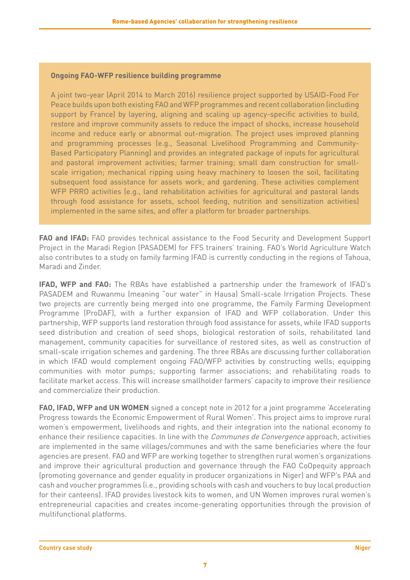#### **Ongoing FAO-WFP resilience building programme**

A joint two-year (April 2014 to March 2016) resilience project supported by USAID-Food For Peace builds upon both existing FAO and WFP programmes and recent collaboration (including support by France) by layering, aligning and scaling up agency-specific activities to build, restore and improve community assets to reduce the impact of shocks, increase household income and reduce early or abnormal out-migration. The project uses improved planning and programming processes (e.g., Seasonal Livelihood Programming and Community-Based Participatory Planning) and provides an integrated package of inputs for agricultural and pastoral improvement activities; farmer training; small dam construction for smallscale irrigation; mechanical ripping using heavy machinery to loosen the soil, facilitating subsequent food assistance for assets work; and gardening. These activities complement WFP PRRO activities (e.g., land rehabilitation activities for agricultural and pastoral lands through food assistance for assets, school feeding, nutrition and sensitization activities) implemented in the same sites, and offer a platform for broader partnerships.

**FAO and IFAD:** FAO provides technical assistance to the Food Security and Development Support Project in the Maradi Region (PASADEM) for FFS trainers' training. FAO's World Agriculture Watch also contributes to a study on family farming IFAD is currently conducting in the regions of Tahoua, Maradi and Zinder.

**IFAD, WFP and FAO:** The RBAs have established a partnership under the framework of IFAD's PASADEM and Ruwanmu (meaning "our water" in Hausa) Small-scale Irrigation Projects. These two projects are currently being merged into one programme, the Family Farming Development Programme (ProDAF), with a further expansion of IFAD and WFP collaboration. Under this partnership, WFP supports land restoration through food assistance for assets, while IFAD supports seed distribution and creation of seed shops, biological restoration of soils, rehabilitated land management, community capacities for surveillance of restored sites, as well as construction of small-scale irrigation schemes and gardening. The three RBAs are discussing further collaboration in which IFAD would complement ongoing FAO/WFP activities by constructing wells; equipping communities with motor pumps; supporting farmer associations; and rehabilitating roads to facilitate market access. This will increase smallholder farmers' capacity to improve their resilience and commercialize their production.

**FAO, IFAD, WFP and UN WOMEN** signed a concept note in 2012 for a joint programme 'Accelerating Progress towards the Economic Empowerment of Rural Women'. This project aims to improve rural women's empowerment, livelihoods and rights, and their integration into the national economy to enhance their resilience capacities. In line with the *Communes de Convergence* approach, activities are implemented in the same villages/communes and with the same beneficiaries where the four agencies are present. FAO and WFP are working together to strengthen rural women's organizations and improve their agricultural production and governance through the FAO CoOpequity approach (promoting governance and gender equality in producer organizations in Niger) and WFP's PAA and cash and voucher programmes (i.e., providing schools with cash and vouchers to buy local production for their canteens). IFAD provides livestock kits to women, and UN Women improves rural women's entrepreneurial capacities and creates income-generating opportunities through the provision of multifunctional platforms.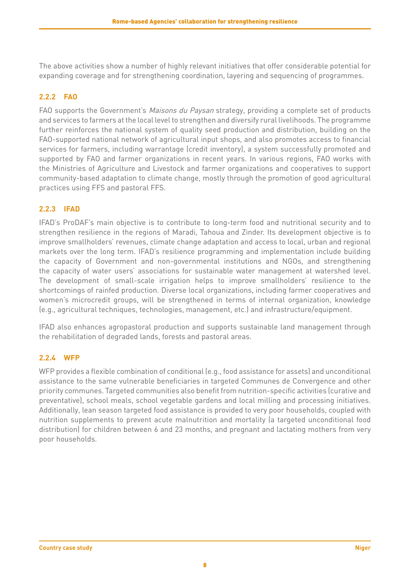The above activities show a number of highly relevant initiatives that offer considerable potential for expanding coverage and for strengthening coordination, layering and sequencing of programmes.

#### **2.2.2 FAO**

FAO supports the Government's Maisons du Paysan strategy, providing a complete set of products and services to farmers at the local level to strengthen and diversify rural livelihoods. The programme further reinforces the national system of quality seed production and distribution, building on the FAO-supported national network of agricultural input shops, and also promotes access to financial services for farmers, including warrantage (credit inventory), a system successfully promoted and supported by FAO and farmer organizations in recent years. In various regions, FAO works with the Ministries of Agriculture and Livestock and farmer organizations and cooperatives to support community-based adaptation to climate change, mostly through the promotion of good agricultural practices using FFS and pastoral FFS.

#### **2.2.3 IFAD**

IFAD's ProDAF's main objective is to contribute to long-term food and nutritional security and to strengthen resilience in the regions of Maradi, Tahoua and Zinder. Its development objective is to improve smallholders' revenues, climate change adaptation and access to local, urban and regional markets over the long term. IFAD's resilience programming and implementation include building the capacity of Government and non-governmental institutions and NGOs, and strengthening the capacity of water users' associations for sustainable water management at watershed level. The development of small-scale irrigation helps to improve smallholders' resilience to the shortcomings of rainfed production. Diverse local organizations, including farmer cooperatives and women's microcredit groups, will be strengthened in terms of internal organization, knowledge (e.g., agricultural techniques, technologies, management, etc.) and infrastructure/equipment.

IFAD also enhances agropastoral production and supports sustainable land management through the rehabilitation of degraded lands, forests and pastoral areas.

#### **2.2.4 WFP**

WFP provides a flexible combination of conditional (e.g., food assistance for assets) and unconditional assistance to the same vulnerable beneficiaries in targeted Communes de Convergence and other priority communes. Targeted communities also benefit from nutrition-specific activities (curative and preventative), school meals, school vegetable gardens and local milling and processing initiatives. Additionally, lean season targeted food assistance is provided to very poor households, coupled with nutrition supplements to prevent acute malnutrition and mortality (a targeted unconditional food distribution) for children between 6 and 23 months, and pregnant and lactating mothers from very poor households.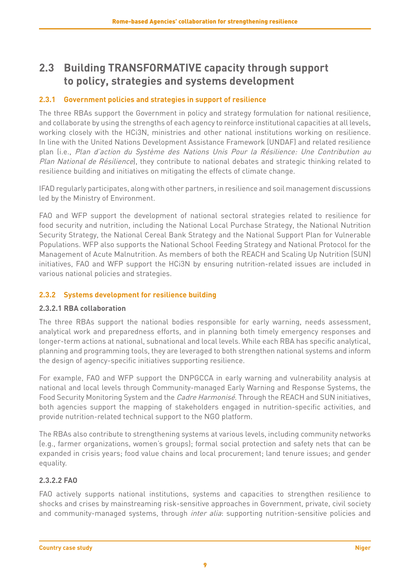### <span id="page-12-0"></span>**2.3 Building TRANSFORMATIVE capacity through support to policy, strategies and systems development**

#### **2.3.1 Government policies and strategies in support of resilience**

The three RBAs support the Government in policy and strategy formulation for national resilience, and collaborate by using the strengths of each agency to reinforce institutional capacities at all levels, working closely with the HCi3N, ministries and other national institutions working on resilience. In line with the United Nations Development Assistance Framework (UNDAF) and related resilience plan (i.e., Plan d'action du Système des Nations Unis Pour la Résilience: Une Contribution au Plan National de Résilience), they contribute to national debates and strategic thinking related to resilience building and initiatives on mitigating the effects of climate change.

IFAD regularly participates, along with other partners, in resilience and soil management discussions led by the Ministry of Environment.

FAO and WFP support the development of national sectoral strategies related to resilience for food security and nutrition, including the National Local Purchase Strategy, the National Nutrition Security Strategy, the National Cereal Bank Strategy and the National Support Plan for Vulnerable Populations. WFP also supports the National School Feeding Strategy and National Protocol for the Management of Acute Malnutrition. As members of both the REACH and Scaling Up Nutrition (SUN) initiatives, FAO and WFP support the HCi3N by ensuring nutrition-related issues are included in various national policies and strategies.

#### **2.3.2 Systems development for resilience building**

#### **2.3.2.1 RBA collaboration**

The three RBAs support the national bodies responsible for early warning, needs assessment, analytical work and preparedness efforts, and in planning both timely emergency responses and longer-term actions at national, subnational and local levels. While each RBA has specific analytical, planning and programming tools, they are leveraged to both strengthen national systems and inform the design of agency-specific initiatives supporting resilience.

For example, FAO and WFP support the DNPGCCA in early warning and vulnerability analysis at national and local levels through Community-managed Early Warning and Response Systems, the Food Security Monitoring System and the *Cadre Harmonisé*. Through the REACH and SUN initiatives, both agencies support the mapping of stakeholders engaged in nutrition-specific activities, and provide nutrition-related technical support to the NGO platform.

The RBAs also contribute to strengthening systems at various levels, including community networks (e.g., farmer organizations, women's groups); formal social protection and safety nets that can be expanded in crisis years; food value chains and local procurement; land tenure issues; and gender equality.

#### **2.3.2.2 FAO**

FAO actively supports national institutions, systems and capacities to strengthen resilience to shocks and crises by mainstreaming risk-sensitive approaches in Government, private, civil society and community-managed systems, through *inter alia*: supporting nutrition-sensitive policies and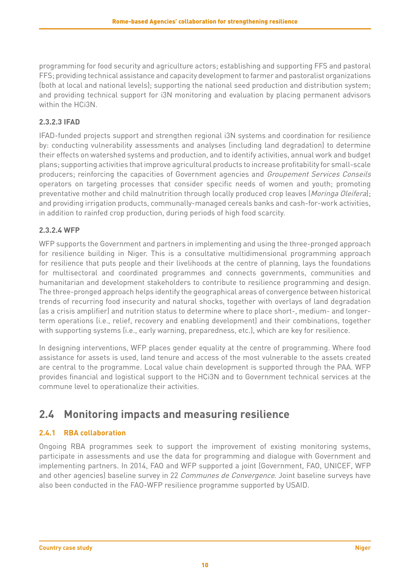<span id="page-13-0"></span>programming for food security and agriculture actors; establishing and supporting FFS and pastoral FFS; providing technical assistance and capacity development to farmer and pastoralist organizations (both at local and national levels); supporting the national seed production and distribution system; and providing technical support for i3N monitoring and evaluation by placing permanent advisors within the HCi3N.

### **2.3.2.3 IFAD**

IFAD-funded projects support and strengthen regional i3N systems and coordination for resilience by: conducting vulnerability assessments and analyses (including land degradation) to determine their effects on watershed systems and production, and to identify activities, annual work and budget plans; supporting activities that improve agricultural products to increase profitability for small-scale producers; reinforcing the capacities of Government agencies and Groupement Services Conseils operators on targeting processes that consider specific needs of women and youth; promoting preventative mother and child malnutrition through locally produced crop leaves (*Moringa Oleifera*); and providing irrigation products, communally-managed cereals banks and cash-for-work activities, in addition to rainfed crop production, during periods of high food scarcity.

### **2.3.2.4 WFP**

WFP supports the Government and partners in implementing and using the three-pronged approach for resilience building in Niger. This is a consultative multidimensional programming approach for resilience that puts people and their livelihoods at the centre of planning, lays the foundations for multisectoral and coordinated programmes and connects governments, communities and humanitarian and development stakeholders to contribute to resilience programming and design. The three-pronged approach helps identify the geographical areas of convergence between historical trends of recurring food insecurity and natural shocks, together with overlays of land degradation (as a crisis amplifier) and nutrition status to determine where to place short-, medium- and longerterm operations (i.e., relief, recovery and enabling development) and their combinations, together with supporting systems (i.e., early warning, preparedness, etc.), which are key for resilience.

In designing interventions, WFP places gender equality at the centre of programming. Where food assistance for assets is used, land tenure and access of the most vulnerable to the assets created are central to the programme. Local value chain development is supported through the PAA. WFP provides financial and logistical support to the HCi3N and to Government technical services at the commune level to operationalize their activities.

## **2.4 Monitoring impacts and measuring resilience**

### **2.4.1 RBA collaboration**

Ongoing RBA programmes seek to support the improvement of existing monitoring systems, participate in assessments and use the data for programming and dialogue with Government and implementing partners. In 2014, FAO and WFP supported a joint (Government, FAO, UNICEF, WFP and other agencies) baseline survey in 22 *Communes de Convergence*. Joint baseline surveys have also been conducted in the FAO-WFP resilience programme supported by USAID.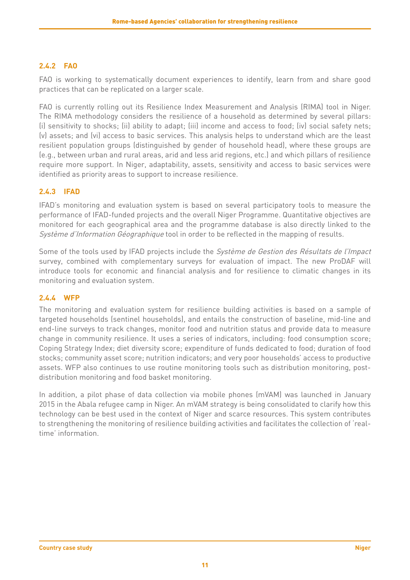### **2.4.2 FAO**

FAO is working to systematically document experiences to identify, learn from and share good practices that can be replicated on a larger scale.

FAO is currently rolling out its Resilience Index Measurement and Analysis (RIMA) tool in Niger. The RIMA methodology considers the resilience of a household as determined by several pillars: (i) sensitivity to shocks; (ii) ability to adapt; (iii) income and access to food; (iv) social safety nets; (v) assets; and (vi) access to basic services. This analysis helps to understand which are the least resilient population groups (distinguished by gender of household head), where these groups are (e.g., between urban and rural areas, arid and less arid regions, etc.) and which pillars of resilience require more support. In Niger, adaptability, assets, sensitivity and access to basic services were identified as priority areas to support to increase resilience.

### **2.4.3 IFAD**

IFAD's monitoring and evaluation system is based on several participatory tools to measure the performance of IFAD-funded projects and the overall Niger Programme. Quantitative objectives are monitored for each geographical area and the programme database is also directly linked to the Système d'Information Géographique tool in order to be reflected in the mapping of results.

Some of the tools used by IFAD projects include the Système de Gestion des Résultats de l'Impact survey, combined with complementary surveys for evaluation of impact. The new ProDAF will introduce tools for economic and financial analysis and for resilience to climatic changes in its monitoring and evaluation system.

#### **2.4.4 WFP**

The monitoring and evaluation system for resilience building activities is based on a sample of targeted households (sentinel households), and entails the construction of baseline, mid-line and end-line surveys to track changes, monitor food and nutrition status and provide data to measure change in community resilience. It uses a series of indicators, including: food consumption score; Coping Strategy Index; diet diversity score; expenditure of funds dedicated to food; duration of food stocks; community asset score; nutrition indicators; and very poor households' access to productive assets. WFP also continues to use routine monitoring tools such as distribution monitoring, postdistribution monitoring and food basket monitoring.

In addition, a pilot phase of data collection via mobile phones (mVAM) was launched in January 2015 in the Abala refugee camp in Niger. An mVAM strategy is being consolidated to clarify how this technology can be best used in the context of Niger and scarce resources. This system contributes to strengthening the monitoring of resilience building activities and facilitates the collection of 'realtime' information.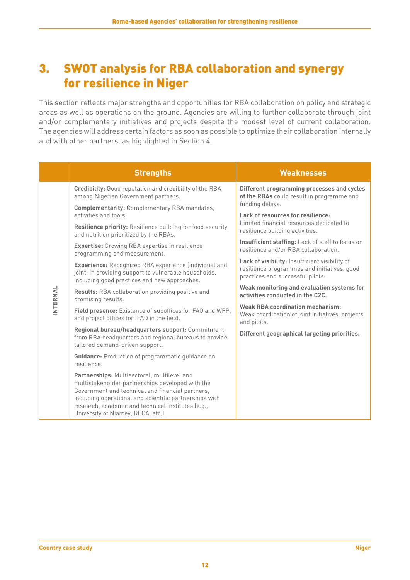## <span id="page-15-0"></span>3. SWOT analysis for RBA collaboration and synergy for resilience in Niger

This section reflects major strengths and opportunities for RBA collaboration on policy and strategic areas as well as operations on the ground. Agencies are willing to further collaborate through joint and/or complementary initiatives and projects despite the modest level of current collaboration. The agencies will address certain factors as soon as possible to optimize their collaboration internally and with other partners, as highlighted in Section 4.

|          | <b>Strengths</b>                                                                                                                                                                                                                                                                                          | <b>Weaknesses</b>                                                                                                                 |
|----------|-----------------------------------------------------------------------------------------------------------------------------------------------------------------------------------------------------------------------------------------------------------------------------------------------------------|-----------------------------------------------------------------------------------------------------------------------------------|
|          | <b>Credibility:</b> Good reputation and credibility of the RBA<br>among Nigerien Government partners.                                                                                                                                                                                                     | Different programming processes and cycles<br>of the RBAs could result in programme and<br>funding delays.                        |
|          | <b>Complementarity: Complementary RBA mandates,</b><br>activities and tools.                                                                                                                                                                                                                              | Lack of resources for resilience:                                                                                                 |
|          | Resilience priority: Resilience building for food security<br>and nutrition prioritized by the RBAs.                                                                                                                                                                                                      | Limited financial resources dedicated to<br>resilience building activities.                                                       |
|          | <b>Expertise:</b> Growing RBA expertise in resilience<br>programming and measurement.                                                                                                                                                                                                                     | Insufficient staffing: Lack of staff to focus on<br>resilience and/or RBA collaboration.                                          |
|          | <b>Experience:</b> Recognized RBA experience (individual and<br>joint) in providing support to vulnerable households,<br>including good practices and new approaches.                                                                                                                                     | Lack of visibility: Insufficient visibility of<br>resilience programmes and initiatives, good<br>practices and successful pilots. |
| INTERNAL | <b>Results:</b> RBA collaboration providing positive and<br>promising results.                                                                                                                                                                                                                            | Weak monitoring and evaluation systems for<br>activities conducted in the C2C.                                                    |
|          | Field presence: Existence of suboffices for FAO and WFP.<br>and project offices for IFAD in the field.                                                                                                                                                                                                    | <b>Weak RBA coordination mechanism:</b><br>Weak coordination of joint initiatives, projects<br>and pilots.                        |
|          | Regional bureau/headquarters support: Commitment<br>from RBA headquarters and regional bureaus to provide<br>tailored demand-driven support.                                                                                                                                                              | Different geographical targeting priorities.                                                                                      |
|          | <b>Guidance:</b> Production of programmatic guidance on<br>resilience.                                                                                                                                                                                                                                    |                                                                                                                                   |
|          | Partnerships: Multisectoral, multilevel and<br>multistakeholder partnerships developed with the<br>Government and technical and financial partners,<br>including operational and scientific partnerships with<br>research, academic and technical institutes (e.g.,<br>University of Niamey, RECA, etc.). |                                                                                                                                   |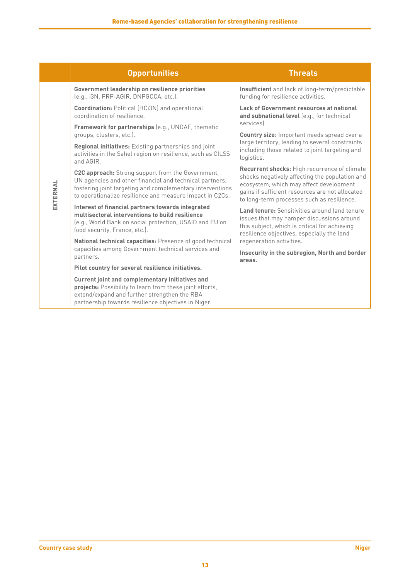|          | <b>Opportunities</b>                                                                                                                                                                                                                  | <b>Threats</b>                                                                                                                                                                                                                             |
|----------|---------------------------------------------------------------------------------------------------------------------------------------------------------------------------------------------------------------------------------------|--------------------------------------------------------------------------------------------------------------------------------------------------------------------------------------------------------------------------------------------|
|          | Government leadership on resilience priorities<br>(e.g., i3N, PRP-AGIR, DNPGCCA, etc.).                                                                                                                                               | Insufficient and lack of long-term/predictable<br>funding for resilience activities.                                                                                                                                                       |
|          | <b>Coordination: Political (HCi3N) and operational</b><br>coordination of resilience.                                                                                                                                                 | Lack of Government resources at national<br>and subnational level (e.g., for technical                                                                                                                                                     |
|          | Framework for partnerships (e.g., UNDAF, thematic<br>groups, clusters, etc.).                                                                                                                                                         | services).<br>Country size: Important needs spread over a<br>large territory, leading to several constraints<br>including those related to joint targeting and<br>logistics.                                                               |
|          | Regional initiatives: Existing partnerships and joint<br>activities in the Sahel region on resilience, such as CILSS<br>and AGIR.                                                                                                     |                                                                                                                                                                                                                                            |
| EXTERNAL | C2C approach: Strong support from the Government,<br>UN agencies and other financial and technical partners,<br>fostering joint targeting and complementary interventions<br>to operationalize resilience and measure impact in C2Cs. | Recurrent shocks: High recurrence of climate<br>shocks negatively affecting the population and<br>ecosystem, which may affect development<br>gains if sufficient resources are not allocated<br>to long-term processes such as resilience. |
|          | Interest of financial partners towards integrated<br>multisectoral interventions to build resilience<br>(e.g., World Bank on social protection, USAID and EU on<br>food security, France, etc.).                                      | Land tenure: Sensitivities around land tenure<br>issues that may hamper discussions around<br>this subject, which is critical for achieving<br>resilience objectives, especially the land                                                  |
|          | National technical capacities: Presence of good technical<br>capacities among Government technical services and<br>partners.                                                                                                          | regeneration activities.<br>Insecurity in the subregion, North and border<br>areas.                                                                                                                                                        |
|          | Pilot country for several resilience initiatives.                                                                                                                                                                                     |                                                                                                                                                                                                                                            |
|          | Current joint and complementary initiatives and<br>projects: Possibility to learn from these joint efforts,<br>extend/expand and further strengthen the RBA<br>partnership towards resilience objectives in Niger.                    |                                                                                                                                                                                                                                            |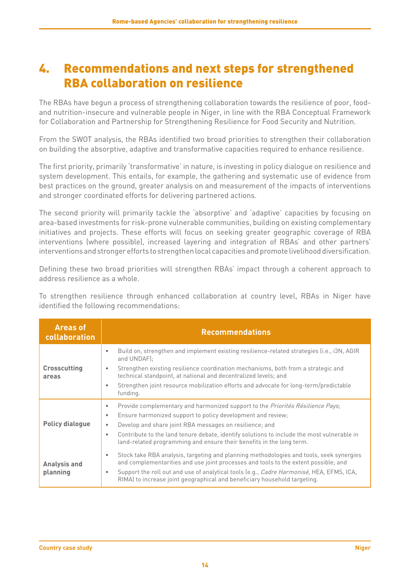## <span id="page-17-0"></span>4. Recommendations and next steps for strengthened RBA collaboration on resilience

The RBAs have begun a process of strengthening collaboration towards the resilience of poor, foodand nutrition-insecure and vulnerable people in Niger, in line with the RBA Conceptual Framework for Collaboration and Partnership for Strengthening Resilience for Food Security and Nutrition.

From the SWOT analysis, the RBAs identified two broad priorities to strengthen their collaboration on building the absorptive, adaptive and transformative capacities required to enhance resilience.

The first priority, primarily 'transformative' in nature, is investing in policy dialogue on resilience and system development. This entails, for example, the gathering and systematic use of evidence from best practices on the ground, greater analysis on and measurement of the impacts of interventions and stronger coordinated efforts for delivering partnered actions.

The second priority will primarily tackle the 'absorptive' and 'adaptive' capacities by focusing on area-based investments for risk-prone vulnerable communities, building on existing complementary initiatives and projects. These efforts will focus on seeking greater geographic coverage of RBA interventions (where possible), increased layering and integration of RBAs' and other partners' interventions and stronger efforts to strengthen local capacities and promote livelihood diversification.

Defining these two broad priorities will strengthen RBAs' impact through a coherent approach to address resilience as a whole.

To strengthen resilience through enhanced collaboration at country level, RBAs in Niger have identified the following recommendations:

| <b>Areas of</b><br>collaboration | <b>Recommendations</b>                                                                                                                                                                                                                                                                                                                                                                                                                     |
|----------------------------------|--------------------------------------------------------------------------------------------------------------------------------------------------------------------------------------------------------------------------------------------------------------------------------------------------------------------------------------------------------------------------------------------------------------------------------------------|
| <b>Crosscutting</b><br>areas     | Build on, strengthen and implement existing resilience-related strategies (i.e., i3N, AGIR<br>$\bullet$<br>and UNDAFI:<br>Strengthen existing resilience coordination mechanisms, both from a strategic and<br>۰<br>technical standpoint, at national and decentralized levels; and<br>Strengthen joint resource mobilization efforts and advocate for long-term/predictable<br>$\bullet$<br>funding.                                      |
| <b>Policy dialogue</b>           | Provide complementary and harmonized support to the <i>Priorités Résilience Pays</i> ;<br>$\bullet$<br>Ensure harmonized support to policy development and review;<br>$\bullet$<br>Develop and share joint RBA messages on resilience; and<br>$\bullet$<br>Contribute to the land tenure debate, identify solutions to include the most vulnerable in<br>$\bullet$<br>land-related programming and ensure their benefits in the long term. |
| <b>Analysis and</b><br>planning  | Stock take RBA analysis, targeting and planning methodologies and tools, seek synergies<br>۰<br>and complementarities and use joint processes and tools to the extent possible; and<br>Support the roll out and use of analytical tools (e.g., <i>Cadre Harmonisé</i> , HEA, EFMS, ICA,<br>$\bullet$<br>RIMA) to increase joint geographical and beneficiary household targeting.                                                          |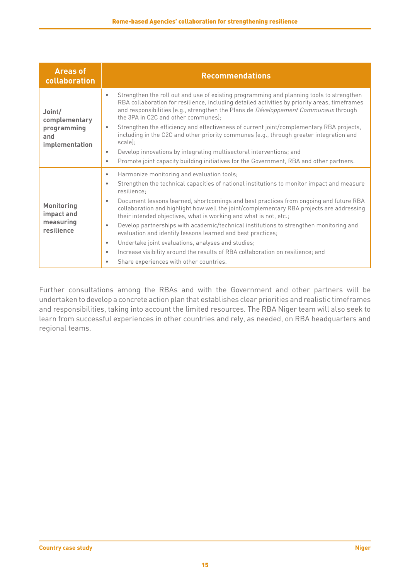| <b>Areas of</b><br>collaboration                                | <b>Recommendations</b>                                                                                                                                                                                                                                                                                                                                                                                                                                                                                                                                                                                                                                                                                                                                                                                                                                   |
|-----------------------------------------------------------------|----------------------------------------------------------------------------------------------------------------------------------------------------------------------------------------------------------------------------------------------------------------------------------------------------------------------------------------------------------------------------------------------------------------------------------------------------------------------------------------------------------------------------------------------------------------------------------------------------------------------------------------------------------------------------------------------------------------------------------------------------------------------------------------------------------------------------------------------------------|
| Joint/<br>complementary<br>programming<br>and<br>implementation | Strengthen the roll out and use of existing programming and planning tools to strengthen<br>۰<br>RBA collaboration for resilience, including detailed activities by priority areas, timeframes<br>and responsibilities (e.g., strengthen the Plans de Développement Communaux through<br>the 3PA in C2C and other communes);<br>Strengthen the efficiency and effectiveness of current joint/complementary RBA projects,<br>$\bullet$<br>including in the C2C and other priority communes (e.g., through greater integration and<br>scale);<br>Develop innovations by integrating multisectoral interventions; and<br>$\bullet$<br>Promote joint capacity building initiatives for the Government, RBA and other partners.<br>$\bullet$                                                                                                                  |
| <b>Monitoring</b><br>impact and<br>measuring<br>resilience      | Harmonize monitoring and evaluation tools;<br>$\bullet$<br>Strengthen the technical capacities of national institutions to monitor impact and measure<br>$\bullet$<br>resilience;<br>Document lessons learned, shortcomings and best practices from ongoing and future RBA<br>$\bullet$<br>collaboration and highlight how well the joint/complementary RBA projects are addressing<br>their intended objectives, what is working and what is not, etc.;<br>Develop partnerships with academic/technical institutions to strengthen monitoring and<br>$\bullet$<br>evaluation and identify lessons learned and best practices;<br>Undertake joint evaluations, analyses and studies;<br>$\bullet$<br>Increase visibility around the results of RBA collaboration on resilience; and<br>$\bullet$<br>Share experiences with other countries.<br>$\bullet$ |

Further consultations among the RBAs and with the Government and other partners will be undertaken to develop a concrete action plan that establishes clear priorities and realistic timeframes and responsibilities, taking into account the limited resources. The RBA Niger team will also seek to learn from successful experiences in other countries and rely, as needed, on RBA headquarters and regional teams.